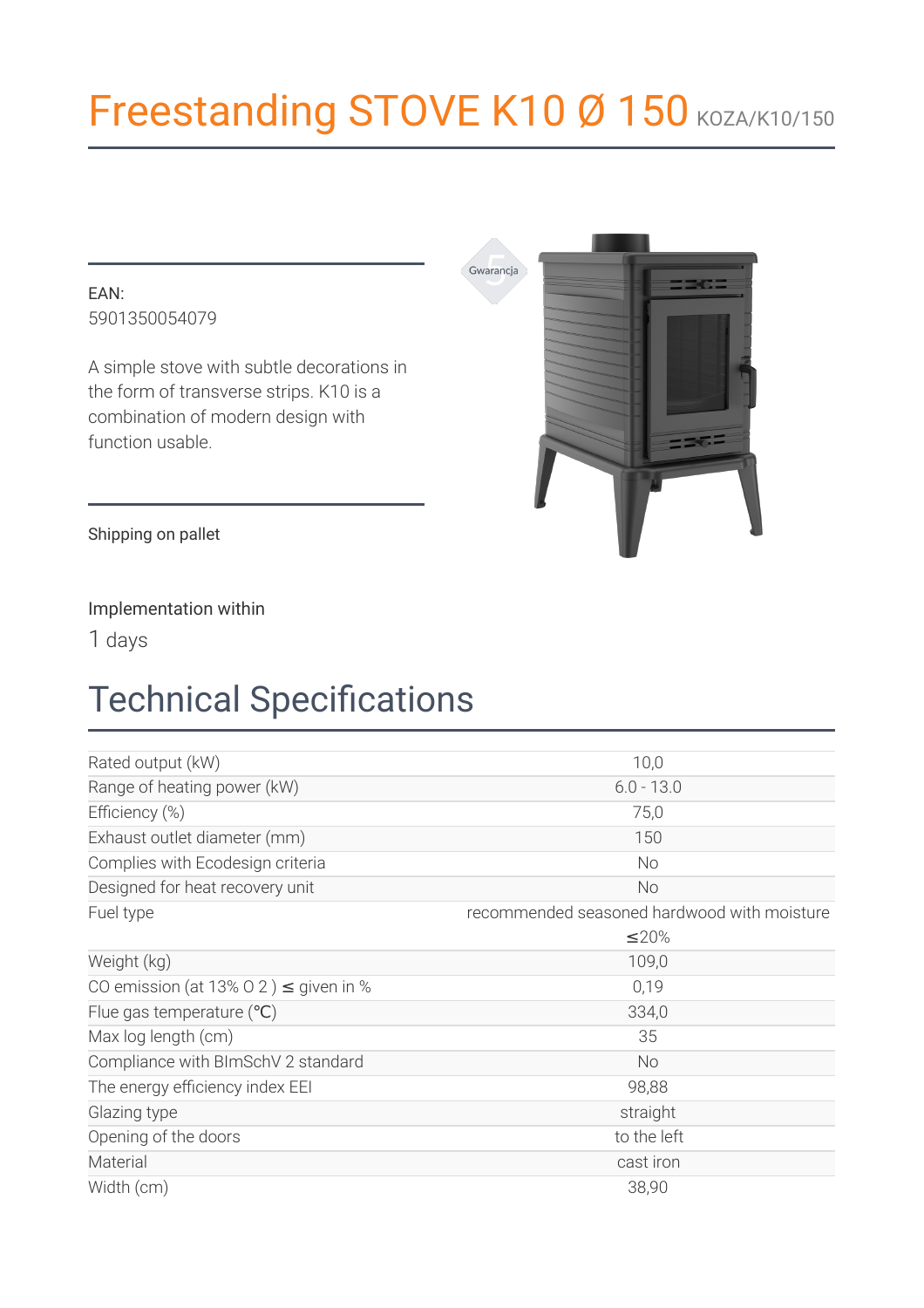# Freestanding STOVE K10 Ø 150 KOZA/K10/150

#### $FAN$ 5901350054079

A simple stove with subtle decorations in the form of transverse strips. K10 is a combination of modern design with function usable.



Shipping on pallet

#### Implementation within

1 days

# **Technical Specifications**

| Rated output (kW)                          | 10,0                                        |  |
|--------------------------------------------|---------------------------------------------|--|
| Range of heating power (kW)                | $6.0 - 13.0$                                |  |
| Efficiency (%)                             | 75,0                                        |  |
| Exhaust outlet diameter (mm)               | 150                                         |  |
| Complies with Ecodesign criteria           | No                                          |  |
| Designed for heat recovery unit            | <b>No</b>                                   |  |
| Fuel type                                  | recommended seasoned hardwood with moisture |  |
|                                            | ≤20%                                        |  |
| Weight (kg)                                | 109,0                                       |  |
| CO emission (at 13% O 2) $\leq$ given in % | 0,19                                        |  |
| Flue gas temperature $(°C)$                | 334,0                                       |  |
| Max log length (cm)                        | 35                                          |  |
| Compliance with BImSchV 2 standard         | <b>No</b>                                   |  |
| The energy efficiency index EEI            | 98,88                                       |  |
| Glazing type                               | straight                                    |  |
| Opening of the doors                       | to the left                                 |  |
| Material                                   | cast iron                                   |  |
| Width (cm)                                 | 38,90                                       |  |
|                                            |                                             |  |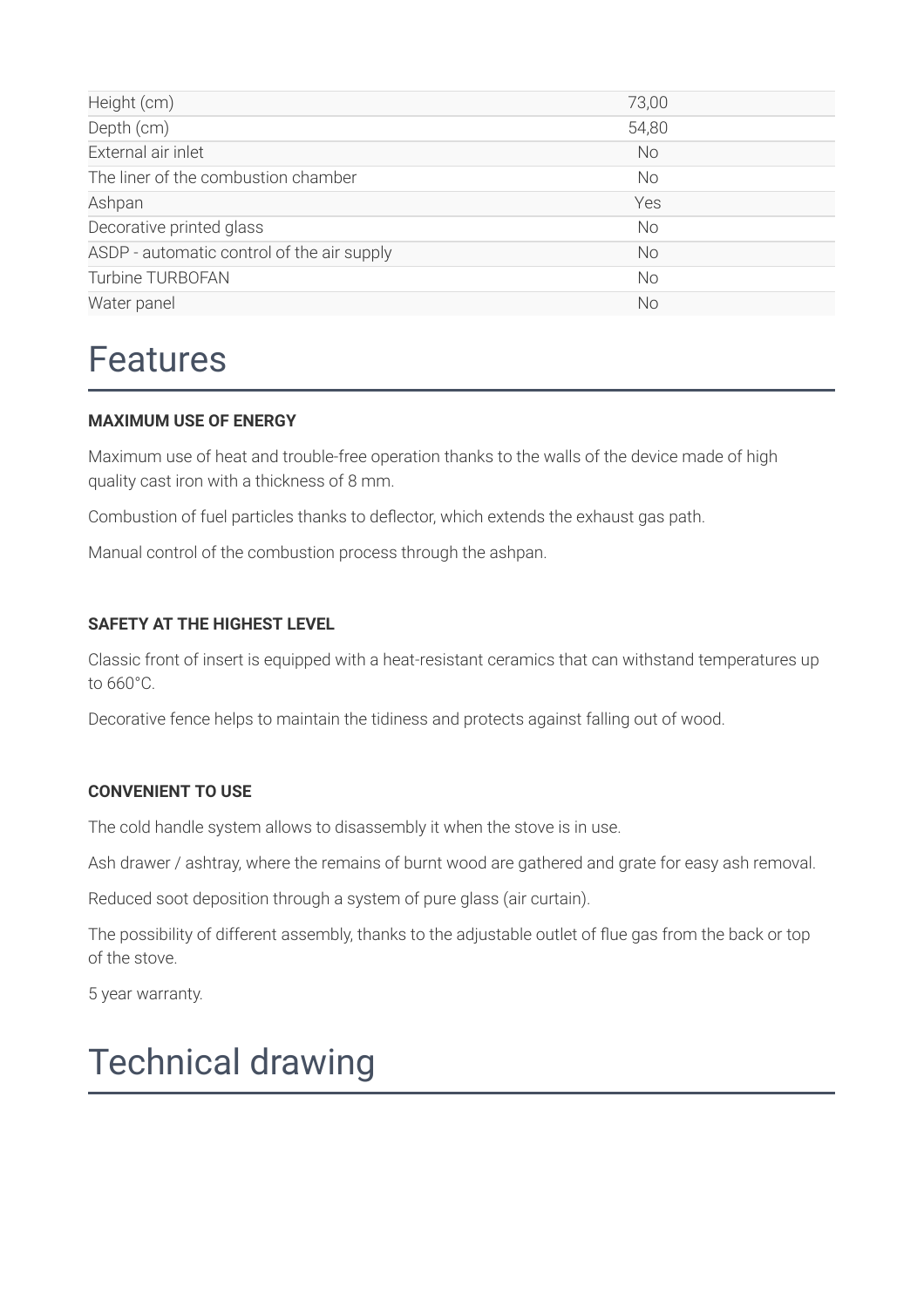| Height (cm)                                | 73,00     |
|--------------------------------------------|-----------|
| Depth (cm)                                 | 54,80     |
| External air inlet                         | <b>No</b> |
| The liner of the combustion chamber        | <b>No</b> |
| Ashpan                                     | Yes       |
| Decorative printed glass                   | <b>No</b> |
| ASDP - automatic control of the air supply | <b>No</b> |
| Turbine TURBOFAN                           | <b>No</b> |
| Water panel                                | <b>No</b> |

### **Features**

#### **MAXIMUM USE OF ENERGY**

Maximum use of heat and trouble-free operation thanks to the walls of the device made of high quality cast iron with a thickness of 8 mm.

Combustion of fuel particles thanks to deflector, which extends the exhaust gas path.

Manual control of the combustion process through the ashpan.

#### **SAFETY AT THE HIGHEST LEVEL**

Classic front of insert is equipped with a heat-resistant ceramics that can withstand temperatures up to 660°C.

Decorative fence helps to maintain the tidiness and protects against falling out of wood.

#### **CONVENIENT TO USE**

The cold handle system allows to disassembly it when the stove is in use.

Ash drawer / ashtray, where the remains of burnt wood are gathered and grate for easy ash removal.

Reduced soot deposition through a system of pure glass (air curtain).

The possibility of different assembly, thanks to the adjustable outlet of flue gas from the back or top of the stove.

5 year warranty.

### **Technical drawing**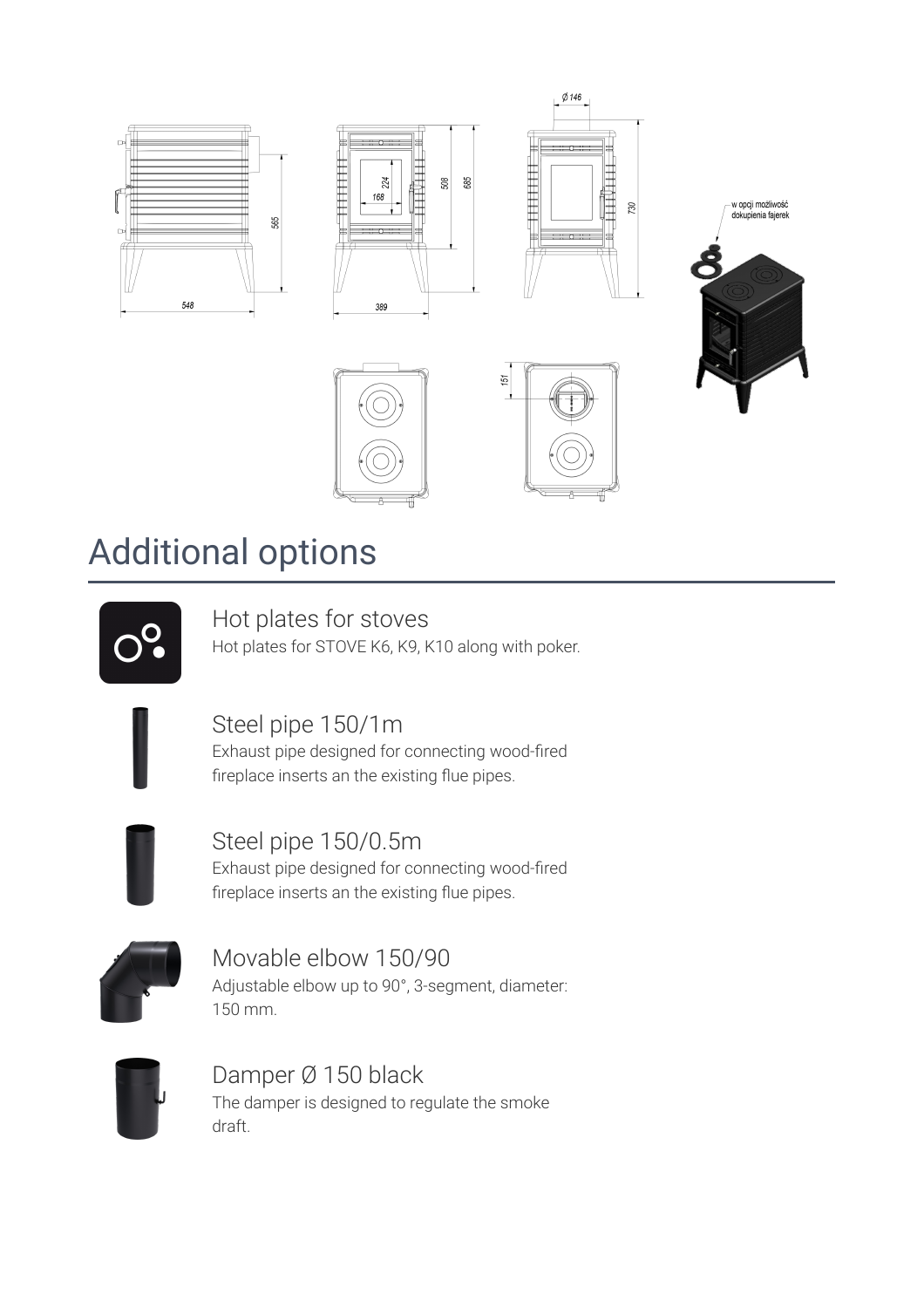

### **Additional options**

Hot plates for stoves

Hot plates for STOVE K6, K9, K10 along with poker.

### Steel pipe 150/1m

Exhaust pipe designed for connecting wood-fired fireplace inserts an the existing flue pipes.



Steel pipe 150/0.5m Exhaust pipe designed for connecting wood-fired fireplace inserts an the existing flue pipes.



Movable elbow 150/90 Adjustable elbow up to 90°, 3-segment, diameter: 150 mm.



Damper Ø 150 black The damper is designed to regulate the smoke draft.